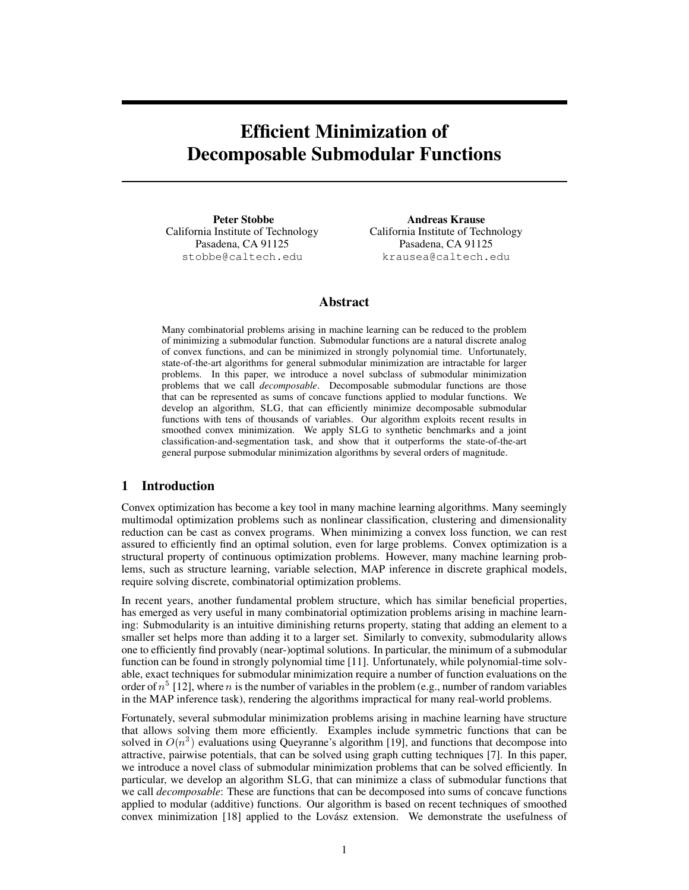# Efficient Minimization of Decomposable Submodular Functions

Peter Stobbe California Institute of Technology Pasadena, CA 91125 stobbe@caltech.edu

Andreas Krause California Institute of Technology Pasadena, CA 91125 krausea@caltech.edu

# Abstract

Many combinatorial problems arising in machine learning can be reduced to the problem of minimizing a submodular function. Submodular functions are a natural discrete analog of convex functions, and can be minimized in strongly polynomial time. Unfortunately, state-of-the-art algorithms for general submodular minimization are intractable for larger problems. In this paper, we introduce a novel subclass of submodular minimization problems that we call *decomposable*. Decomposable submodular functions are those that can be represented as sums of concave functions applied to modular functions. We develop an algorithm, SLG, that can efficiently minimize decomposable submodular functions with tens of thousands of variables. Our algorithm exploits recent results in smoothed convex minimization. We apply SLG to synthetic benchmarks and a joint classification-and-segmentation task, and show that it outperforms the state-of-the-art general purpose submodular minimization algorithms by several orders of magnitude.

# 1 Introduction

Convex optimization has become a key tool in many machine learning algorithms. Many seemingly multimodal optimization problems such as nonlinear classification, clustering and dimensionality reduction can be cast as convex programs. When minimizing a convex loss function, we can rest assured to efficiently find an optimal solution, even for large problems. Convex optimization is a structural property of continuous optimization problems. However, many machine learning problems, such as structure learning, variable selection, MAP inference in discrete graphical models, require solving discrete, combinatorial optimization problems.

In recent years, another fundamental problem structure, which has similar beneficial properties, has emerged as very useful in many combinatorial optimization problems arising in machine learning: Submodularity is an intuitive diminishing returns property, stating that adding an element to a smaller set helps more than adding it to a larger set. Similarly to convexity, submodularity allows one to efficiently find provably (near-)optimal solutions. In particular, the minimum of a submodular function can be found in strongly polynomial time [11]. Unfortunately, while polynomial-time solvable, exact techniques for submodular minimization require a number of function evaluations on the order of  $n^5$  [12], where n is the number of variables in the problem (e.g., number of random variables in the MAP inference task), rendering the algorithms impractical for many real-world problems.

Fortunately, several submodular minimization problems arising in machine learning have structure that allows solving them more efficiently. Examples include symmetric functions that can be solved in  $O(n^3)$  evaluations using Queyranne's algorithm [19], and functions that decompose into attractive, pairwise potentials, that can be solved using graph cutting techniques [7]. In this paper, we introduce a novel class of submodular minimization problems that can be solved efficiently. In particular, we develop an algorithm SLG, that can minimize a class of submodular functions that we call *decomposable*: These are functions that can be decomposed into sums of concave functions applied to modular (additive) functions. Our algorithm is based on recent techniques of smoothed convex minimization [18] applied to the Lovász extension. We demonstrate the usefulness of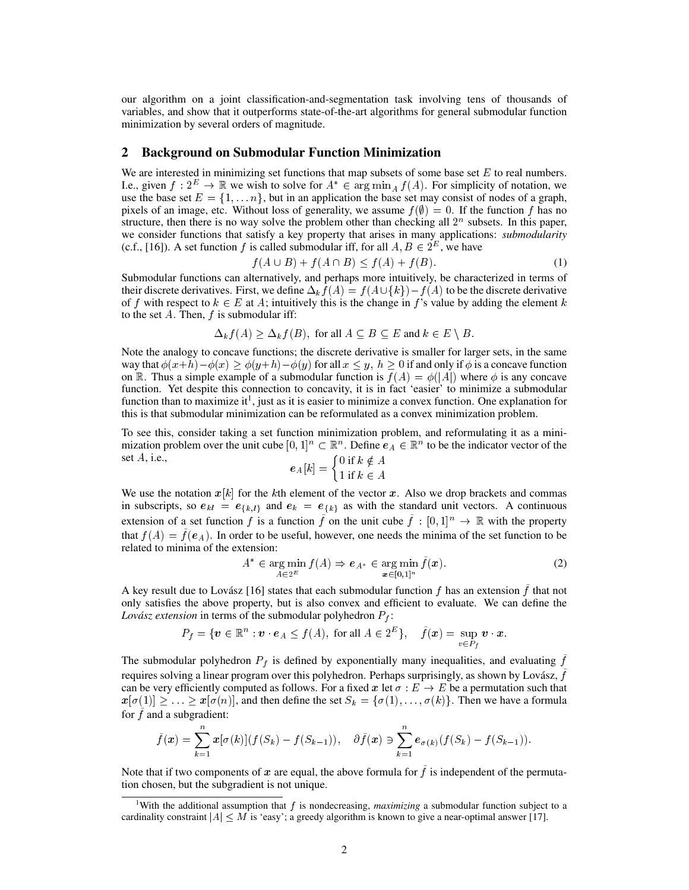our algorithm on a joint classification-and-segmentation task involving tens of thousands of variables, and show that it outperforms state-of-the-art algorithms for general submodular function minimization by several orders of magnitude.

## 2 Background on Submodular Function Minimization

We are interested in minimizing set functions that map subsets of some base set  $E$  to real numbers. I.e., given  $f: 2^E \to \mathbb{R}$  we wish to solve for  $A^* \in \arg \min_A f(A)$ . For simplicity of notation, we use the base set  $E = \{1, \ldots n\}$ , but in an application the base set may consist of nodes of a graph, pixels of an image, etc. Without loss of generality, we assume  $f(\emptyset) = 0$ . If the function f has no structure, then there is no way solve the problem other than checking all  $2<sup>n</sup>$  subsets. In this paper, we consider functions that satisfy a key property that arises in many applications: *submodularity* (c.f., [16]). A set function f is called submodular iff, for all  $A, B \in 2^E$ , we have

$$
f(A \cup B) + f(A \cap B) \le f(A) + f(B). \tag{1}
$$

Submodular functions can alternatively, and perhaps more intuitively, be characterized in terms of their discrete derivatives. First, we define  $\Delta_k f(A) = f(A \cup \{k\}) - f(A)$  to be the discrete derivative of f with respect to  $k \in E$  at A; intuitively this is the change in f's value by adding the element k to the set  $A$ . Then,  $f$  is submodular iff:

$$
\Delta_k f(A) \ge \Delta_k f(B), \text{ for all } A \subseteq B \subseteq E \text{ and } k \in E \setminus B.
$$

Note the analogy to concave functions; the discrete derivative is smaller for larger sets, in the same way that  $\phi(x+h)-\phi(x) \ge \phi(y+h)-\phi(y)$  for all  $x \le y$ ,  $h \ge 0$  if and only if  $\phi$  is a concave function on R. Thus a simple example of a submodular function is  $f(A) = \phi(|A|)$  where  $\phi$  is any concave function. Yet despite this connection to concavity, it is in fact 'easier' to minimize a submodular function than to maximize it<sup>1</sup>, just as it is easier to minimize a convex function. One explanation for this is that submodular minimization can be reformulated as a convex minimization problem.

To see this, consider taking a set function minimization problem, and reformulating it as a minimization problem over the unit cube  $[0,1]^n \subset \mathbb{R}^n$ . Define  $e_A \in \mathbb{R}^n$  to be the indicator vector of the set  $A$ , i.e.,  $0$  if  $k \neq 1$ 

$$
e_A[k] = \begin{cases} 0 \text{ if } k \notin A \\ 1 \text{ if } k \in A \end{cases}
$$

We use the notation  $x[k]$  for the kth element of the vector x. Also we drop brackets and commas in subscripts, so  $e_{kl} = e_{\{k,l\}}$  and  $e_k = e_{\{k\}}$  as with the standard unit vectors. A continuous extension of a set function f is a function f on the unit cube  $f : [0, 1]^n \to \mathbb{R}$  with the property that  $f(A) = f(e_A)$ . In order to be useful, however, one needs the minima of the set function to be related to minima of the extension:

$$
A^* \in \operatorname*{arg\,min}_{A \in 2^E} f(A) \Rightarrow e_{A^*} \in \operatorname*{arg\,min}_{\boldsymbol{x} \in [0,1]^n} \tilde{f}(\boldsymbol{x}).\tag{2}
$$

A key result due to Lovász [16] states that each submodular function  $f$  has an extension  $\hat{f}$  that not only satisfies the above property, but is also convex and efficient to evaluate. We can define the *Lovász extension* in terms of the submodular polyhedron  $P_f$ :

$$
P_f = \{ \mathbf{v} \in \mathbb{R}^n : \mathbf{v} \cdot \mathbf{e}_A \le f(A), \text{ for all } A \in 2^E \}, \quad \tilde{f}(\mathbf{x}) = \sup_{v \in P_f} \mathbf{v} \cdot \mathbf{x}.
$$

The submodular polyhedron  $P_f$  is defined by exponentially many inequalities, and evaluating  $\hat{f}$ requires solving a linear program over this polyhedron. Perhaps surprisingly, as shown by Lovász,  $\tilde{f}$ can be very efficiently computed as follows. For a fixed x let  $\sigma : E \to E$  be a permutation such that  $x[\sigma(1)] \geq \ldots \geq x[\sigma(n)]$ , and then define the set  $S_k = {\sigma(1), \ldots, \sigma(k)}$ . Then we have a formula for  $f$  and a subgradient:

$$
\tilde{f}(\boldsymbol{x}) = \sum_{k=1}^{n} \boldsymbol{x} [\sigma(k)] (f(S_k) - f(S_{k-1})), \quad \partial \tilde{f}(\boldsymbol{x}) \ni \sum_{k=1}^{n} \boldsymbol{e}_{\sigma(k)} (f(S_k) - f(S_{k-1})).
$$

Note that if two components of x are equal, the above formula for  $\hat{f}$  is independent of the permutation chosen, but the subgradient is not unique.

<sup>&</sup>lt;sup>1</sup>With the additional assumption that f is nondecreasing, *maximizing* a submodular function subject to a cardinality constraint  $|A| \leq M$  is 'easy'; a greedy algorithm is known to give a near-optimal answer [17].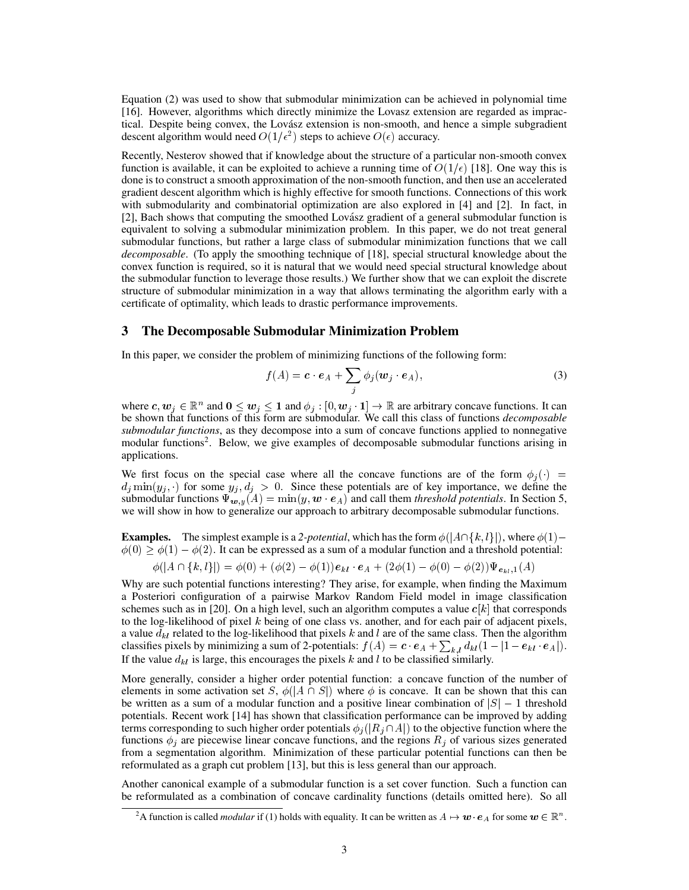Equation (2) was used to show that submodular minimization can be achieved in polynomial time [16]. However, algorithms which directly minimize the Lovasz extension are regarded as impractical. Despite being convex, the Lovász extension is non-smooth, and hence a simple subgradient descent algorithm would need  $O(1/\epsilon^2)$  steps to achieve  $O(\epsilon)$  accuracy.

Recently, Nesterov showed that if knowledge about the structure of a particular non-smooth convex function is available, it can be exploited to achieve a running time of  $O(1/\epsilon)$  [18]. One way this is done is to construct a smooth approximation of the non-smooth function, and then use an accelerated gradient descent algorithm which is highly effective for smooth functions. Connections of this work with submodularity and combinatorial optimization are also explored in [4] and [2]. In fact, in [2], Bach shows that computing the smoothed Lovász gradient of a general submodular function is equivalent to solving a submodular minimization problem. In this paper, we do not treat general submodular functions, but rather a large class of submodular minimization functions that we call *decomposable*. (To apply the smoothing technique of [18], special structural knowledge about the convex function is required, so it is natural that we would need special structural knowledge about the submodular function to leverage those results.) We further show that we can exploit the discrete structure of submodular minimization in a way that allows terminating the algorithm early with a certificate of optimality, which leads to drastic performance improvements.

## 3 The Decomposable Submodular Minimization Problem

In this paper, we consider the problem of minimizing functions of the following form:

$$
f(A) = \mathbf{c} \cdot \mathbf{e}_A + \sum_j \phi_j(\mathbf{w}_j \cdot \mathbf{e}_A), \tag{3}
$$

where  $c, w_j \in \mathbb{R}^n$  and  $0 \le w_j \le 1$  and  $\phi_j : [0, w_j \cdot 1] \to \mathbb{R}$  are arbitrary concave functions. It can be shown that functions of this form are submodular. We call this class of functions *decomposable submodular functions*, as they decompose into a sum of concave functions applied to nonnegative modular functions<sup>2</sup>. Below, we give examples of decomposable submodular functions arising in applications.

We first focus on the special case where all the concave functions are of the form  $\phi_i(\cdot)$  =  $d_j \min(y_j, \cdot)$  for some  $y_j, d_j > 0$ . Since these potentials are of key importance, we define the submodular functions  $\Psi_{w,y}(A) = \min(y, w \cdot e_A)$  and call them *threshold potentials*. In Section 5, we will show in how to generalize our approach to arbitrary decomposable submodular functions.

**Examples.** The simplest example is a 2-potential, which has the form  $\phi(|A \cap \{k, l\}|)$ , where  $\phi(1)$  $\phi(0) \ge \phi(1) - \phi(2)$ . It can be expressed as a sum of a modular function and a threshold potential:

$$
\phi(|A \cap \{k, l\}|) = \phi(0) + (\phi(2) - \phi(1))\mathbf{e}_{kl} \cdot \mathbf{e}_A + (2\phi(1) - \phi(0) - \phi(2))\Psi_{\mathbf{e}_{kl},1}(A)
$$

Why are such potential functions interesting? They arise, for example, when finding the Maximum a Posteriori configuration of a pairwise Markov Random Field model in image classification schemes such as in [20]. On a high level, such an algorithm computes a value  $c[k]$  that corresponds to the log-likelihood of pixel k being of one class vs. another, and for each pair of adjacent pixels, a value  $d_{kl}$  related to the log-likelihood that pixels k and l are of the same class. Then the algorithm classifies pixels by minimizing a sum of 2-potentials:  $f(A) = \mathbf{c} \cdot \mathbf{e}_A + \sum_{k,l} d_{kl} (1 - |1 - \mathbf{e}_{kl} \cdot \mathbf{e}_A|)$ . If the value  $d_{kl}$  is large, this encourages the pixels k and l to be classified similarly.

More generally, consider a higher order potential function: a concave function of the number of elements in some activation set S,  $\phi(|A \cap S|)$  where  $\phi$  is concave. It can be shown that this can be written as a sum of a modular function and a positive linear combination of  $|S| - 1$  threshold potentials. Recent work [14] has shown that classification performance can be improved by adding terms corresponding to such higher order potentials  $\phi_j(|R_j \cap A|)$  to the objective function where the functions  $\phi_i$  are piecewise linear concave functions, and the regions  $R_i$  of various sizes generated from a segmentation algorithm. Minimization of these particular potential functions can then be reformulated as a graph cut problem [13], but this is less general than our approach.

Another canonical example of a submodular function is a set cover function. Such a function can be reformulated as a combination of concave cardinality functions (details omitted here). So all

<sup>&</sup>lt;sup>2</sup>A function is called *modular* if (1) holds with equality. It can be written as  $A \mapsto w \cdot e_A$  for some  $w \in \mathbb{R}^n$ .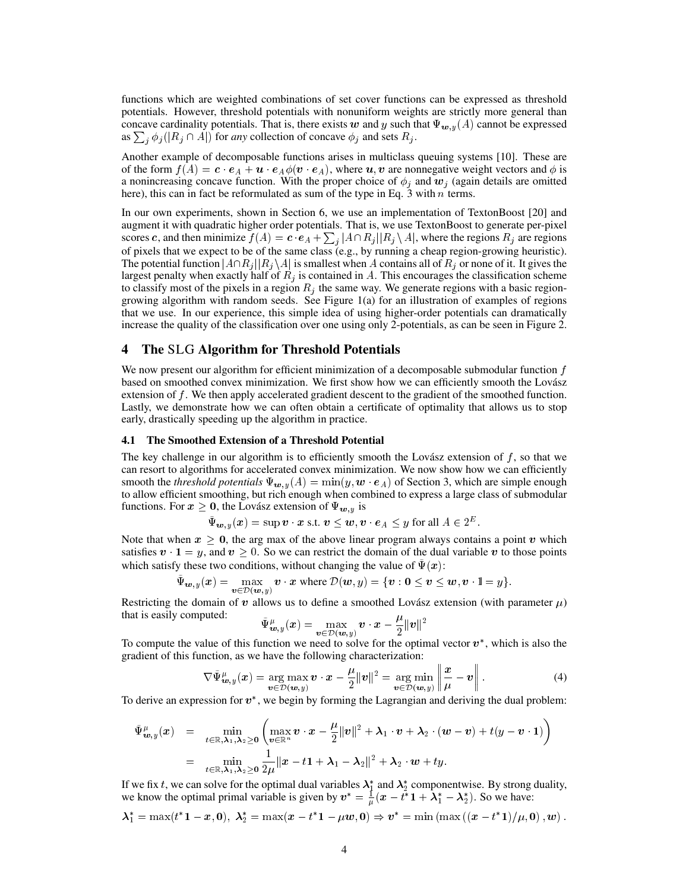functions which are weighted combinations of set cover functions can be expressed as threshold potentials. However, threshold potentials with nonuniform weights are strictly more general than concave cardinality potentials. That is, there exists w and y such that  $\Psi_{w,y}(A)$  cannot be expressed as  $\sum_j \phi_j(|R_j \cap A|)$  for *any* collection of concave  $\phi_j$  and sets  $R_j$ .

Another example of decomposable functions arises in multiclass queuing systems [10]. These are of the form  $f(A) = \mathbf{c} \cdot \mathbf{e}_A + \mathbf{u} \cdot \mathbf{e}_A \phi(\mathbf{v} \cdot \mathbf{e}_A)$ , where  $\mathbf{u}, \mathbf{v}$  are nonnegative weight vectors and  $\phi$  is a nonincreasing concave function. With the proper choice of  $\phi_j$  and  $w_j$  (again details are omitted here), this can in fact be reformulated as sum of the type in Eq.  $3$  with  $n$  terms.

In our own experiments, shown in Section 6, we use an implementation of TextonBoost [20] and augment it with quadratic higher order potentials. That is, we use TextonBoost to generate per-pixel scores c, and then minimize  $f(A) = \mathbf{c} \cdot \mathbf{e}_A + \sum_j |A \cap R_j||R_j \setminus A|$ , where the regions  $R_j$  are regions of pixels that we expect to be of the same class (e.g., by running a cheap region-growing heuristic). The potential function  $|A\cap R_j||R_j\setminus A|$  is smallest when A contains all of  $R_j$  or none of it. It gives the largest penalty when exactly half of  $R_i$  is contained in A. This encourages the classification scheme to classify most of the pixels in a region  $R_j$  the same way. We generate regions with a basic regiongrowing algorithm with random seeds. See Figure 1(a) for an illustration of examples of regions that we use. In our experience, this simple idea of using higher-order potentials can dramatically increase the quality of the classification over one using only 2-potentials, as can be seen in Figure 2.

### 4 The SLG Algorithm for Threshold Potentials

We now present our algorithm for efficient minimization of a decomposable submodular function  $f$ based on smoothed convex minimization. We first show how we can efficiently smooth the Lovász extension of f. We then apply accelerated gradient descent to the gradient of the smoothed function. Lastly, we demonstrate how we can often obtain a certificate of optimality that allows us to stop early, drastically speeding up the algorithm in practice.

#### 4.1 The Smoothed Extension of a Threshold Potential

The key challenge in our algorithm is to efficiently smooth the Lovász extension of  $f$ , so that we can resort to algorithms for accelerated convex minimization. We now show how we can efficiently smooth the *threshold potentials*  $\Psi_{w,y}(A) = \min(y, w \cdot e_A)$  of Section 3, which are simple enough to allow efficient smoothing, but rich enough when combined to express a large class of submodular functions. For  $x \geq 0$ , the Lovász extension of  $\Psi_{w,y}$  is

$$
\tilde{\Psi}_{\mathbf{w},y}(\mathbf{x}) = \sup \mathbf{v} \cdot \mathbf{x} \text{ s.t. } \mathbf{v} \le \mathbf{w}, \mathbf{v} \cdot \mathbf{e}_A \le y \text{ for all } A \in 2^E.
$$

Note that when  $x \geq 0$ , the arg max of the above linear program always contains a point v which satisfies  $v \cdot 1 = y$ , and  $v > 0$ . So we can restrict the domain of the dual variable v to those points which satisfy these two conditions, without changing the value of  $\Psi(x)$ :

$$
\tilde{\Psi}_{\boldsymbol{w},y}(\boldsymbol{x}) = \max_{\boldsymbol{v}\in\mathcal{D}(\boldsymbol{w},y)} \boldsymbol{v}\cdot\boldsymbol{x} \text{ where } \mathcal{D}(\boldsymbol{w},y) = \{\boldsymbol{v}: \boldsymbol{0} \leq \boldsymbol{v} \leq \boldsymbol{w}, \boldsymbol{v}\cdot\mathbb{1} = y\}.
$$

Restricting the domain of v allows us to define a smoothed Lovász extension (with parameter  $\mu$ ) that is easily computed:  $\mu$ 

$$
\tilde{\Psi}^{\mu}_{\boldsymbol{w},y}(\boldsymbol{x}) = \max_{\boldsymbol{v}\in\mathcal{D}(\boldsymbol{w},y)} \boldsymbol{v}\cdot\boldsymbol{x} - \frac{\mu}{2}\|\boldsymbol{v}\|^2
$$

To compute the value of this function we need to solve for the optimal vector  $v^*$ , which is also the gradient of this function, as we have the following characterization:  $\mathbf{u}$ 

$$
\nabla \tilde{\Psi}^{\mu}_{\boldsymbol{w},y}(\boldsymbol{x}) = \underset{\boldsymbol{v} \in \mathcal{D}(\boldsymbol{w},y)}{\arg \max} \boldsymbol{v} \cdot \boldsymbol{x} - \frac{\mu}{2} ||\boldsymbol{v}||^2 = \underset{\boldsymbol{v} \in \mathcal{D}(\boldsymbol{w},y)}{\arg \min} \left\| \frac{\boldsymbol{x}}{\mu} - \boldsymbol{v} \right\|.
$$
 (4)

To derive an expression for  $v^*$ , we begin by forming the Lagrangian and deriving the dual problem:

$$
\tilde{\Psi}^{\mu}_{\boldsymbol{w},y}(\boldsymbol{x}) = \min_{t \in \mathbb{R}, \lambda_1, \lambda_2 \ge 0} \left( \max_{\boldsymbol{v} \in \mathbb{R}^n} \boldsymbol{v} \cdot \boldsymbol{x} - \frac{\mu}{2} ||\boldsymbol{v}||^2 + \lambda_1 \cdot \boldsymbol{v} + \lambda_2 \cdot (\boldsymbol{w} - \boldsymbol{v}) + t(y - \boldsymbol{v} \cdot \boldsymbol{1}) \right)
$$
\n
$$
= \min_{t \in \mathbb{R}, \lambda_1, \lambda_2 \ge 0} \frac{1}{2\mu} ||\boldsymbol{x} - t\boldsymbol{1} + \lambda_1 - \lambda_2||^2 + \lambda_2 \cdot \boldsymbol{w} + ty.
$$

If we fix t, we can solve for the optimal dual variables  $\lambda_1^*$  and  $\lambda_2^*$  componentwise. By strong duality, we know the optimal primal variable is given by  $v^* = \frac{1}{\mu}(x - t^* \mathbf{1} + \lambda_1^* - \lambda_2^*)$ . So we have:

$$
\lambda_1^* = \max(t^* \mathbf{1} - x, 0), \ \lambda_2^* = \max(x - t^* \mathbf{1} - \mu w, 0) \Rightarrow v^* = \min(\max((x - t^* \mathbf{1})/\mu, 0), w).
$$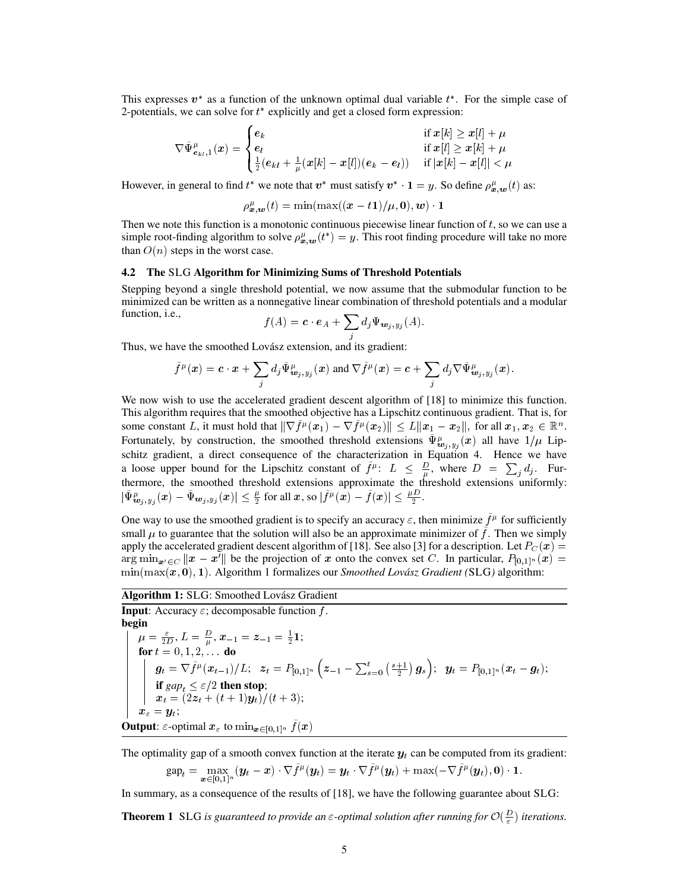This expresses  $v^*$  as a function of the unknown optimal dual variable  $t^*$ . For the simple case of 2-potentials, we can solve for  $t^*$  explicitly and get a closed form expression:

$$
\nabla \tilde{\Psi}^\mu_{\boldsymbol{e}_{kl},1}(\boldsymbol{x}) = \begin{cases} \boldsymbol{e}_k & \text{if } \boldsymbol{x}[k] \geq \boldsymbol{x}[l] + \mu \\ \boldsymbol{e}_l & \text{if } \boldsymbol{x}[l] \geq \boldsymbol{x}[k] + \mu \\ \frac{1}{2}(\boldsymbol{e}_{kl} + \frac{1}{\mu}(\boldsymbol{x}[k] - \boldsymbol{x}[l])(\boldsymbol{e}_k - \boldsymbol{e}_l)) & \text{if } |\boldsymbol{x}[k] - \boldsymbol{x}[l]| < \mu \end{cases}
$$

However, in general to find  $t^*$  we note that  $v^*$  must satisfy  $v^* \cdot \mathbf{1} = y$ . So define  $\rho_{\mathbf{x},\mathbf{w}}^{\mu}(t)$  as:

$$
\rho_{\boldsymbol{x},\boldsymbol{w}}^{\mu}(t)=\min(\max((\boldsymbol{x}-t\boldsymbol{1})/\mu,\boldsymbol{0}),\boldsymbol{w})\cdot\boldsymbol{1}
$$

Then we note this function is a monotonic continuous piecewise linear function of  $t$ , so we can use a simple root-finding algorithm to solve  $\rho_{x,w}^{\mu}(t^*) = y$ . This root finding procedure will take no more than  $O(n)$  steps in the worst case.

#### 4.2 The SLG Algorithm for Minimizing Sums of Threshold Potentials

Stepping beyond a single threshold potential, we now assume that the submodular function to be minimized can be written as a nonnegative linear combination of threshold potentials and a modular function, i.e.,

$$
f(A) = \mathbf{c} \cdot \mathbf{e}_A + \sum_j d_j \Psi_{\mathbf{w}_j, y_j}(A).
$$

Thus, we have the smoothed Lovász extension, and its gradient:

$$
\tilde{f}^{\mu}(\boldsymbol{x}) = \boldsymbol{c} \cdot \boldsymbol{x} + \sum_{j} d_{j} \tilde{\Psi}^{\mu}_{\boldsymbol{w}_{j},y_{j}}(\boldsymbol{x}) \text{ and } \nabla \tilde{f}^{\mu}(\boldsymbol{x}) = \boldsymbol{c} + \sum_{j} d_{j} \nabla \tilde{\Psi}^{\mu}_{\boldsymbol{w}_{j},y_{j}}(\boldsymbol{x}).
$$

We now wish to use the accelerated gradient descent algorithm of [18] to minimize this function. This algorithm requires that the smoothed objective has a Lipschitz continuous gradient. That is, for some constant L, it must hold that  $\|\nabla \tilde{f}^\mu({x}_1) - \nabla \tilde{f}^\mu({x}_2)\| \le L \|{x}_1 - {x}_2\|, \text{ for all } {x}_1, {x}_2 \in \mathbb{R}^n.$ Fortunately, by construction, the smoothed threshold extensions  $\tilde{\Psi}^{\mu}_{\mathbf{w}_j,y_j}(\bm{x})$  all have  $1/\mu$  Lipschitz gradient, a direct consequence of the characterization in Equation 4. Hence we have a loose upper bound for the Lipschitz constant of  $\tilde{f}^{\mu}$ :  $L \leq \frac{D}{\mu}$ , where  $D = \sum_{j} d_j$ . Furthermore, the smoothed threshold extensions approximate the threshold extensions uniformly:  $|\tilde{\Psi}^{\mu}_{\bm{w}_j,y_j}(\bm{x})-\tilde{\Psi}_{\bm{w}_j,y_j}(\bm{x})|\leq \frac{\mu}{2}\text{ for all }\bm{x}\text{, so }|\tilde{f}^{\mu}(\bm{x})-\tilde{f}(\bm{x})|\leq \frac{\mu D}{2}.$ 

One way to use the smoothed gradient is to specify an accuracy  $\varepsilon$ , then minimize  $\tilde{f}^{\mu}$  for sufficiently small  $\mu$  to guarantee that the solution will also be an approximate minimizer of  $\tilde{f}$ . Then we simply apply the accelerated gradient descent algorithm of [18]. See also [3] for a description. Let  $P_C(x) =$  $\arg \min_{\mathbf{x}' \in C} ||\mathbf{x} - \mathbf{x}'||$  be the projection of x onto the convex set C. In particular,  $P_{[0,1]^n}(\mathbf{x}) =$  $\min(\max(x, 0), 1)$ . Algorithm 1 formalizes our *Smoothed Lovász Gradient (SLG)* algorithm:

Algorithm 1: SLG: Smoothed Lovász Gradient

**Input:** Accuracy  $\varepsilon$ ; decomposable function f. begin  $\mu=\frac{\varepsilon}{2D},$   $L=\frac{D}{\mu},$   $\boldsymbol{x}_{-1}=\boldsymbol{z}_{-1}=\frac{1}{2}\boldsymbol{1};$ for  $t = 0, 1, 2, ...$  do  $\bm{g}_t = \nabla \tilde{f}^{\mu}(\bm{x}_{t-1})/L; ~~ \bm{z}_t = P_{[\![ 0,1 ]\!]^n}\left( \bm{z}_{-1} - \sum_{s=0}^t \left( \frac{s+1}{2} \right) \bm{g}_s \right); ~~ \bm{y}_t = P_{[\![ 0,1 ]\!]^n}(\bm{x}_t - \bm{g}_t);$ if  $\operatorname{gap}_t \leq \varepsilon/2$  then stop;  $x_t = (2z_t + (t+1)y_t)/(t+3);$  $x_{\varepsilon} = y_t;$ **Output:**  $\varepsilon$ -optimal  $\boldsymbol{x}_{\varepsilon}$  to  $\min_{\boldsymbol{x}\in[0,1]^n} \tilde{f}(\boldsymbol{x})$ 

The optimality gap of a smooth convex function at the iterate  $y_t$  can be computed from its gradient:  $\textnormal{gap}_t = \max_{\bm x \in [0,1]^n} (\bm y_t - \bm x) \cdot \nabla \tilde f^\mu(\bm y_t) = \bm y_t \cdot \nabla \tilde f^\mu(\bm y_t) + \max(-\nabla \tilde f^\mu(\bm y_t), \bm 0) \cdot \bm 1.$ 

In summary, as a consequence of the results of [18], we have the following guarantee about SLG:

**Theorem 1** SLG is guaranteed to provide an  $\varepsilon$ -optimal solution after running for  $\mathcal{O}(\frac{D}{\varepsilon})$  iterations.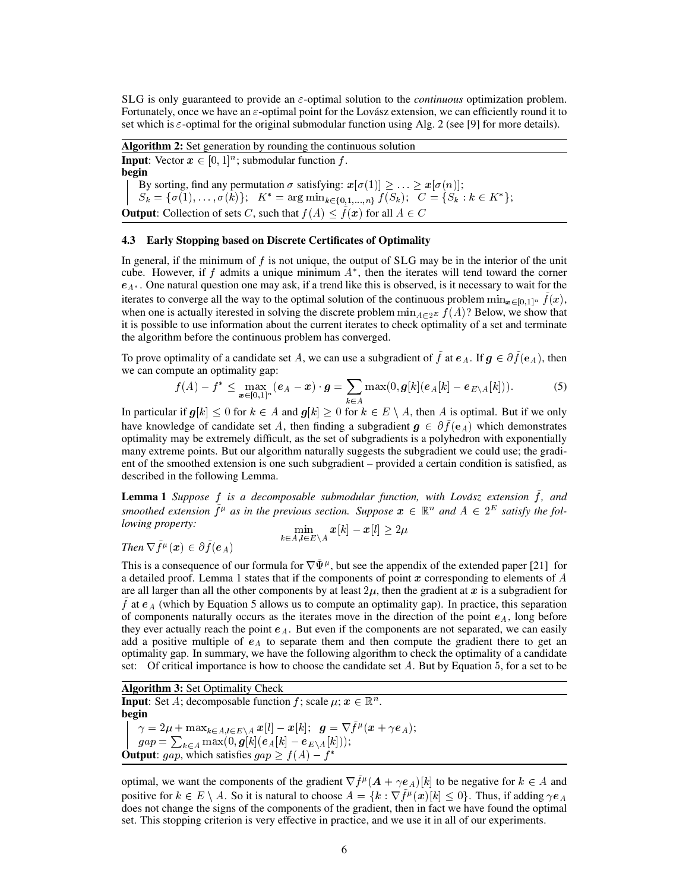SLG is only guaranteed to provide an  $\varepsilon$ -optimal solution to the *continuous* optimization problem. Fortunately, once we have an  $\varepsilon$ -optimal point for the Lovász extension, we can efficiently round it to set which is  $\varepsilon$ -optimal for the original submodular function using Alg. 2 (see [9] for more details).

Algorithm 2: Set generation by rounding the continuous solution **Input**: Vector  $x \in [0, 1]^n$ ; submodular function f. begin By sorting, find any permutation  $\sigma$  satisfying:  $x[\sigma(1)] \geq \ldots \geq x[\sigma(n)]$ ;  $S_k = \{\sigma(1), \ldots, \sigma(k)\};$   $K^* = \arg \min_{k \in \{0,1,\ldots,n\}} f(S_k);$   $C = \{S_k : k \in K^*\};$ **Output:** Collection of sets C, such that  $f(A) < \tilde{f}(x)$  for all  $A \in C$ 

## 4.3 Early Stopping based on Discrete Certificates of Optimality

In general, if the minimum of  $f$  is not unique, the output of SLG may be in the interior of the unit cube. However, if f admits a unique minimum  $A^*$ , then the iterates will tend toward the corner  $e_{A^*}$ . One natural question one may ask, if a trend like this is observed, is it necessary to wait for the iterates to converge all the way to the optimal solution of the continuous problem  $\min_{x \in [0,1]^n} f(x)$ , when one is actually iterested in solving the discrete problem  $\min_{A \in 2^E} f(A)$ ? Below, we show that it is possible to use information about the current iterates to check optimality of a set and terminate the algorithm before the continuous problem has converged.

To prove optimality of a candidate set A, we can use a subgradient of  $\tilde{f}$  at  $e_A$ . If  $g \in \partial \tilde{f}(e_A)$ , then we can compute an optimality gap:

$$
f(A) - f^* \leq \max_{\mathbf{x} \in [0,1]^n} (\mathbf{e}_A - \mathbf{x}) \cdot \mathbf{g} = \sum_{k \in A} \max(0, \mathbf{g}[k] (\mathbf{e}_A[k] - \mathbf{e}_{E \setminus A}[k])). \tag{5}
$$

In particular if  $g[k] < 0$  for  $k \in A$  and  $g[k] > 0$  for  $k \in E \setminus A$ , then A is optimal. But if we only have knowledge of candidate set A, then finding a subgradient  $g \in \partial \tilde{f}(e_A)$  which demonstrates optimality may be extremely difficult, as the set of subgradients is a polyhedron with exponentially many extreme points. But our algorithm naturally suggests the subgradient we could use; the gradient of the smoothed extension is one such subgradient – provided a certain condition is satisfied, as described in the following Lemma.

Lemma 1 *Suppose f is a decomposable submodular function, with Lovász extension*  $\tilde{f}$ *, and* smoothed extension  $\tilde{f}^{\mu}$  as in the previous section. Suppose  $x \in \mathbb{R}^n$  and  $A \in 2^E$  satisfy the fol*lowing property:* 

$$
\min_{k \in A, l \in E \setminus A} x[k] - x[l] \geq 2\mu
$$

```
Then \nabla \tilde{f}^{\mu}(\boldsymbol{x}) \in \partial \tilde{f}(\boldsymbol{e}_A)
```
This is a consequence of our formula for  $\nabla \tilde{\Psi}^{\mu}$ , but see the appendix of the extended paper [21] for a detailed proof. Lemma 1 states that if the components of point x corresponding to elements of  $A$ are all larger than all the other components by at least  $2\mu$ , then the gradient at x is a subgradient for  $\hat{f}$  at  $e_A$  (which by Equation 5 allows us to compute an optimality gap). In practice, this separation of components naturally occurs as the iterates move in the direction of the point  $e<sub>A</sub>$ , long before they ever actually reach the point  $e_A$ . But even if the components are not separated, we can easily add a positive multiple of  $e_A$  to separate them and then compute the gradient there to get an optimality gap. In summary, we have the following algorithm to check the optimality of a candidate set: Of critical importance is how to choose the candidate set A. But by Equation 5, for a set to be

Algorithm 3: Set Optimality Check **Input:** Set A; decomposable function f; scale  $\mu$ ;  $x \in \mathbb{R}^n$ . begin  $\gamma = 2 \mu + \max_{k \in A, l \in E \setminus A} x[l] - x[k]; \;\; g = \nabla \tilde{f}^\mu(x + \gamma e_A);$  $gap = \sum_{k\in A}\max(0, {\boldsymbol{g}}[k]({\boldsymbol{e}}_A[k] - {\boldsymbol{e}}_{E\setminus A}[k]));$ **Output**: gap, which satisfies  $gap \ge f(A) - f^*$ 

optimal, we want the components of the gradient  $\nabla \tilde{f}^{\mu}(\boldsymbol{A} + \gamma \boldsymbol{e}_A)[k]$  to be negative for  $k \in A$  and positive for  $k \in E \setminus A$ . So it is natural to choose  $A = \{k : \nabla \tilde{f}^{\mu}(\boldsymbol{x})[k] \leq 0\}$ . Thus, if adding  $\gamma e_A$ does not change the signs of the components of the gradient, then in fact we have found the optimal set. This stopping criterion is very effective in practice, and we use it in all of our experiments.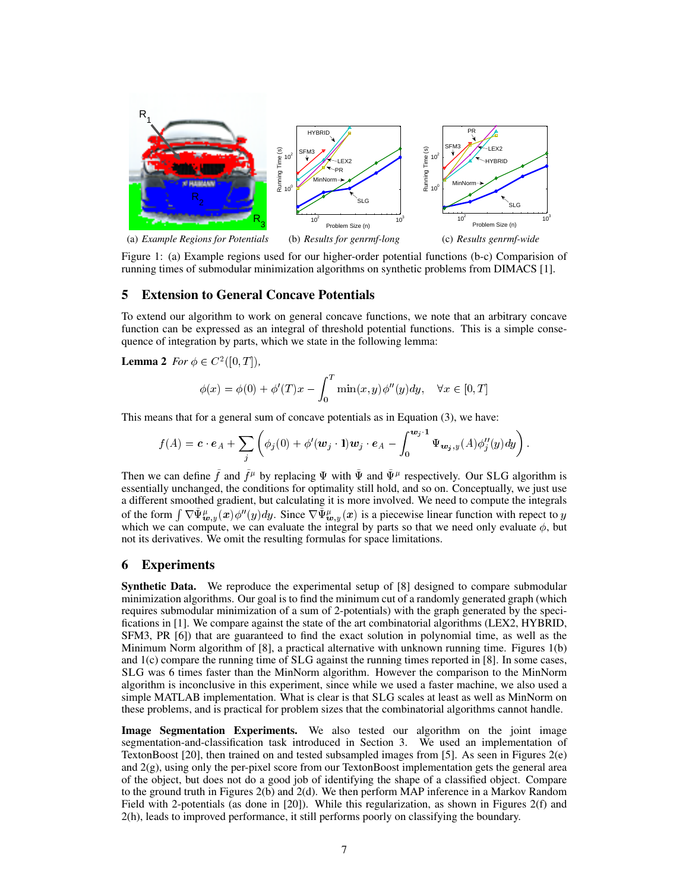

Figure 1: (a) Example regions used for our higher-order potential functions (b-c) Comparision of running times of submodular minimization algorithms on synthetic problems from DIMACS [1].

# 5 Extension to General Concave Potentials

To extend our algorithm to work on general concave functions, we note that an arbitrary concave function can be expressed as an integral of threshold potential functions. This is a simple consequence of integration by parts, which we state in the following lemma:

**Lemma 2** *For*  $\phi \in C^2([0, T]),$ 

$$
\phi(x) = \phi(0) + \phi'(T)x - \int_0^T \min(x, y)\phi''(y)dy, \quad \forall x \in [0, T]
$$

This means that for a general sum of concave potentials as in Equation (3), we have:

$$
f(A) = \mathbf{c} \cdot \mathbf{e}_A + \sum_j \left( \phi_j(0) + \phi'(\mathbf{w}_j \cdot \mathbf{1}) \mathbf{w}_j \cdot \mathbf{e}_A - \int_0^{\mathbf{w}_j \cdot \mathbf{1}} \Psi_{\mathbf{w}_j, y}(A) \phi''_j(y) dy \right).
$$

Then we can define  $\tilde{f}$  and  $\tilde{f}^{\mu}$  by replacing  $\Psi$  with  $\tilde{\Psi}$  and  $\tilde{\Psi}^{\mu}$  respectively. Our SLG algorithm is essentially unchanged, the conditions for optimality still hold, and so on. Conceptually, we just use a different smoothed gradient, but calculating it is more involved. We need to compute the integrals of the form  $\int \nabla \tilde{\Psi}_{\bm{w},y}^{\mu}(x) \phi''(y) dy$ . Since  $\nabla \tilde{\Psi}_{\bm{w},y}^{\mu}(x)$  is a piecewise linear function with repect to y which we can compute, we can evaluate the integral by parts so that we need only evaluate  $\phi$ , but not its derivatives. We omit the resulting formulas for space limitations.

# 6 Experiments

Synthetic Data. We reproduce the experimental setup of [8] designed to compare submodular minimization algorithms. Our goal is to find the minimum cut of a randomly generated graph (which requires submodular minimization of a sum of 2-potentials) with the graph generated by the specifications in [1]. We compare against the state of the art combinatorial algorithms (LEX2, HYBRID, SFM3, PR [6]) that are guaranteed to find the exact solution in polynomial time, as well as the Minimum Norm algorithm of [8], a practical alternative with unknown running time. Figures 1(b) and 1(c) compare the running time of SLG against the running times reported in [8]. In some cases, SLG was 6 times faster than the MinNorm algorithm. However the comparison to the MinNorm algorithm is inconclusive in this experiment, since while we used a faster machine, we also used a simple MATLAB implementation. What is clear is that SLG scales at least as well as MinNorm on these problems, and is practical for problem sizes that the combinatorial algorithms cannot handle.

Image Segmentation Experiments. We also tested our algorithm on the joint image segmentation-and-classification task introduced in Section 3. We used an implementation of TextonBoost [20], then trained on and tested subsampled images from [5]. As seen in Figures 2(e) and  $2(g)$ , using only the per-pixel score from our TextonBoost implementation gets the general area of the object, but does not do a good job of identifying the shape of a classified object. Compare to the ground truth in Figures 2(b) and 2(d). We then perform MAP inference in a Markov Random Field with 2-potentials (as done in [20]). While this regularization, as shown in Figures 2(f) and 2(h), leads to improved performance, it still performs poorly on classifying the boundary.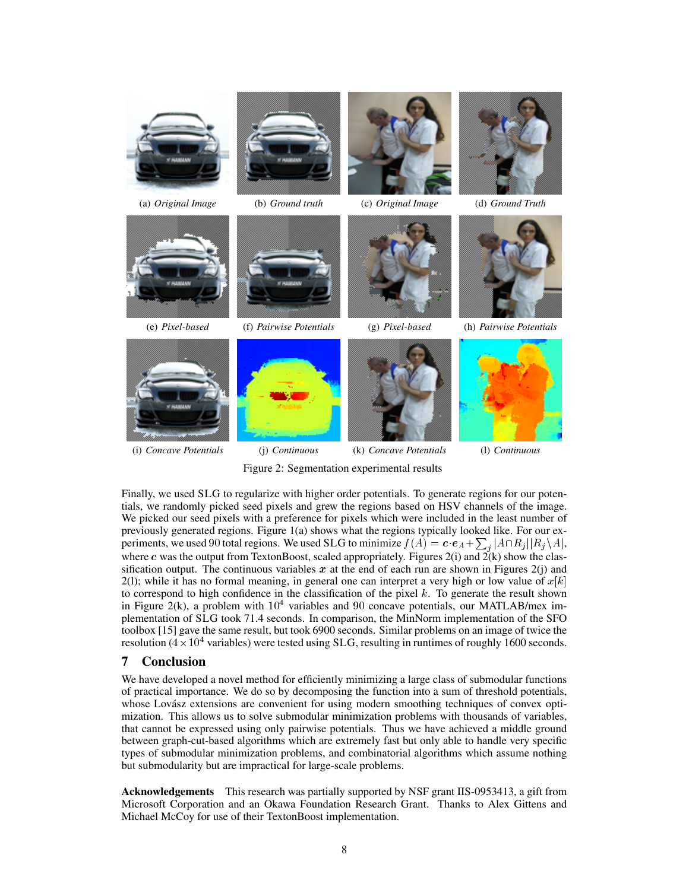

Figure 2: Segmentation experimental results

Finally, we used SLG to regularize with higher order potentials. To generate regions for our potentials, we randomly picked seed pixels and grew the regions based on HSV channels of the image. We picked our seed pixels with a preference for pixels which were included in the least number of previously generated regions. Figure 1(a) shows what the regions typically looked like. For our experiments, we used 90 total regions. We used SLG to minimize  $f(A) = \mathbf{c} \cdot \mathbf{e}_A + \sum_j |A \cap R_j| |R_j \setminus A|$ , where c was the output from TextonBoost, scaled appropriately. Figures  $2(i)$  and  $2(k)$  show the classification output. The continuous variables x at the end of each run are shown in Figures  $2(i)$  and 2(1); while it has no formal meaning, in general one can interpret a very high or low value of  $x[k]$ to correspond to high confidence in the classification of the pixel  $k$ . To generate the result shown in Figure 2(k), a problem with  $10^4$  variables and 90 concave potentials, our MATLAB/mex implementation of SLG took 71.4 seconds. In comparison, the MinNorm implementation of the SFO toolbox [15] gave the same result, but took 6900 seconds. Similar problems on an image of twice the resolution ( $4 \times 10^4$  variables) were tested using SLG, resulting in runtimes of roughly 1600 seconds.

## 7 Conclusion

We have developed a novel method for efficiently minimizing a large class of submodular functions of practical importance. We do so by decomposing the function into a sum of threshold potentials, whose Lovász extensions are convenient for using modern smoothing techniques of convex optimization. This allows us to solve submodular minimization problems with thousands of variables, that cannot be expressed using only pairwise potentials. Thus we have achieved a middle ground between graph-cut-based algorithms which are extremely fast but only able to handle very specific types of submodular minimization problems, and combinatorial algorithms which assume nothing but submodularity but are impractical for large-scale problems.

Acknowledgements This research was partially supported by NSF grant IIS-0953413, a gift from Microsoft Corporation and an Okawa Foundation Research Grant. Thanks to Alex Gittens and Michael McCoy for use of their TextonBoost implementation.